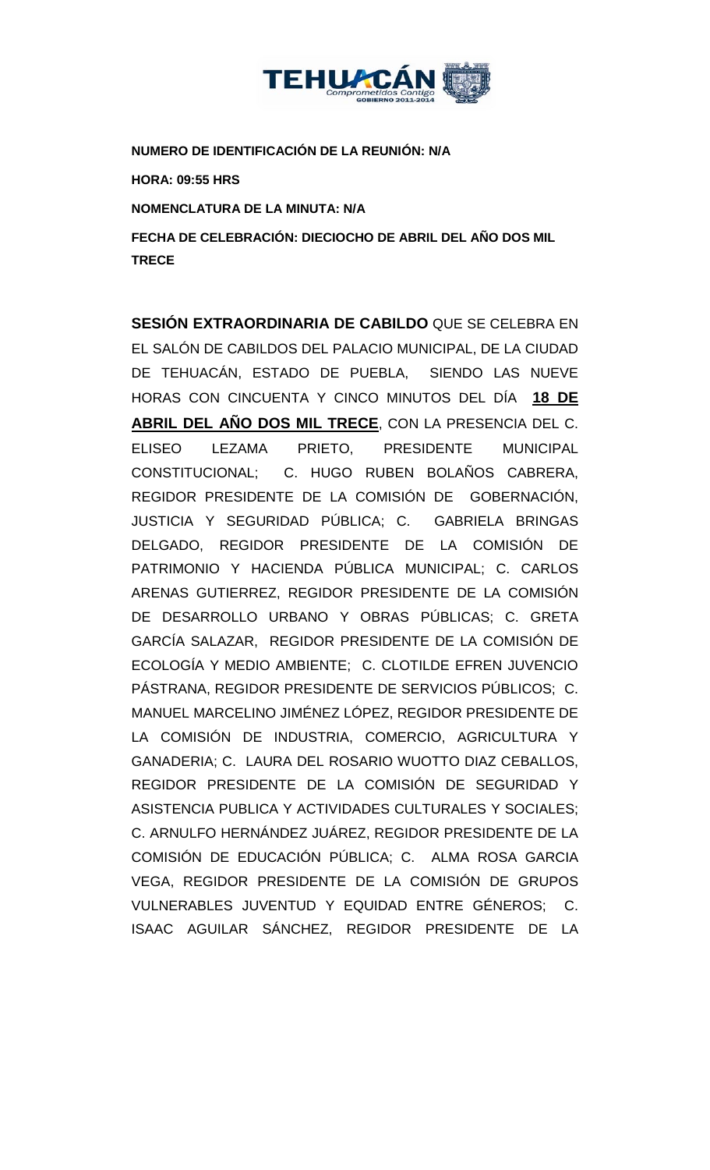

**NUMERO DE IDENTIFICACIÓN DE LA REUNIÓN: N/A**

**HORA: 09:55 HRS**

**NOMENCLATURA DE LA MINUTA: N/A**

**FECHA DE CELEBRACIÓN: DIECIOCHO DE ABRIL DEL AÑO DOS MIL TRECE** 

**SESIÓN EXTRAORDINARIA DE CABILDO** QUE SE CELEBRA EN EL SALÓN DE CABILDOS DEL PALACIO MUNICIPAL, DE LA CIUDAD DE TEHUACÁN, ESTADO DE PUEBLA, SIENDO LAS NUEVE HORAS CON CINCUENTA Y CINCO MINUTOS DEL DÍA **18 DE ABRIL DEL AÑO DOS MIL TRECE**, CON LA PRESENCIA DEL C. ELISEO LEZAMA PRIETO, PRESIDENTE MUNICIPAL CONSTITUCIONAL; C. HUGO RUBEN BOLAÑOS CABRERA, REGIDOR PRESIDENTE DE LA COMISIÓN DE GOBERNACIÓN, JUSTICIA Y SEGURIDAD PÚBLICA; C. GABRIELA BRINGAS DELGADO, REGIDOR PRESIDENTE DE LA COMISIÓN DE PATRIMONIO Y HACIENDA PÚBLICA MUNICIPAL; C. CARLOS ARENAS GUTIERREZ, REGIDOR PRESIDENTE DE LA COMISIÓN DE DESARROLLO URBANO Y OBRAS PÚBLICAS; C. GRETA GARCÍA SALAZAR, REGIDOR PRESIDENTE DE LA COMISIÓN DE ECOLOGÍA Y MEDIO AMBIENTE; C. CLOTILDE EFREN JUVENCIO PÁSTRANA, REGIDOR PRESIDENTE DE SERVICIOS PÚBLICOS; C. MANUEL MARCELINO JIMÉNEZ LÓPEZ, REGIDOR PRESIDENTE DE LA COMISIÓN DE INDUSTRIA, COMERCIO, AGRICULTURA Y GANADERIA; C. LAURA DEL ROSARIO WUOTTO DIAZ CEBALLOS, REGIDOR PRESIDENTE DE LA COMISIÓN DE SEGURIDAD Y ASISTENCIA PUBLICA Y ACTIVIDADES CULTURALES Y SOCIALES; C. ARNULFO HERNÁNDEZ JUÁREZ, REGIDOR PRESIDENTE DE LA COMISIÓN DE EDUCACIÓN PÚBLICA; C. ALMA ROSA GARCIA VEGA, REGIDOR PRESIDENTE DE LA COMISIÓN DE GRUPOS VULNERABLES JUVENTUD Y EQUIDAD ENTRE GÉNEROS; C. ISAAC AGUILAR SÁNCHEZ, REGIDOR PRESIDENTE DE LA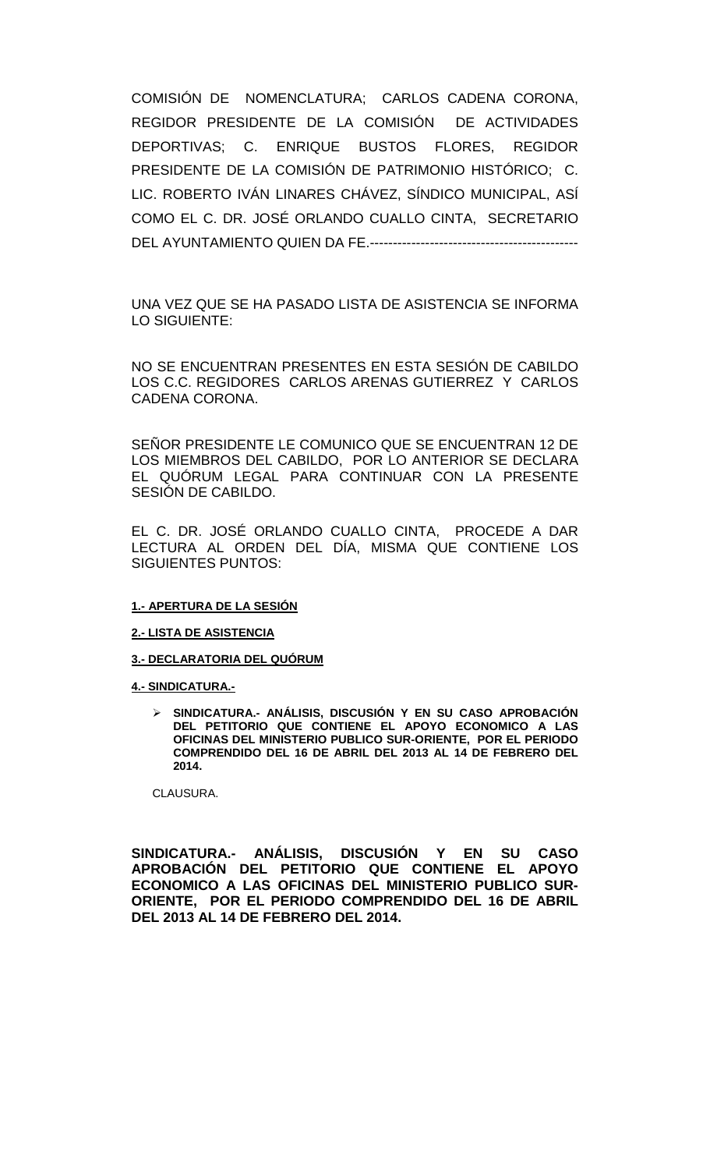COMISIÓN DE NOMENCLATURA; CARLOS CADENA CORONA, REGIDOR PRESIDENTE DE LA COMISIÓN DE ACTIVIDADES DEPORTIVAS; C. ENRIQUE BUSTOS FLORES, REGIDOR PRESIDENTE DE LA COMISIÓN DE PATRIMONIO HISTÓRICO; C. LIC. ROBERTO IVÁN LINARES CHÁVEZ, SÍNDICO MUNICIPAL, ASÍ COMO EL C. DR. JOSÉ ORLANDO CUALLO CINTA, SECRETARIO DEL AYUNTAMIENTO QUIEN DA FE.---------------------------------------------

UNA VEZ QUE SE HA PASADO LISTA DE ASISTENCIA SE INFORMA LO SIGUIENTE:

NO SE ENCUENTRAN PRESENTES EN ESTA SESIÓN DE CABILDO LOS C.C. REGIDORES CARLOS ARENAS GUTIERREZ Y CARLOS CADENA CORONA.

SEÑOR PRESIDENTE LE COMUNICO QUE SE ENCUENTRAN 12 DE LOS MIEMBROS DEL CABILDO, POR LO ANTERIOR SE DECLARA EL QUÓRUM LEGAL PARA CONTINUAR CON LA PRESENTE SESIÓN DE CABILDO.

EL C. DR. JOSÉ ORLANDO CUALLO CINTA, PROCEDE A DAR LECTURA AL ORDEN DEL DÍA, MISMA QUE CONTIENE LOS SIGUIENTES PUNTOS:

#### **1.- APERTURA DE LA SESIÓN**

**2.- LISTA DE ASISTENCIA**

**3.- DECLARATORIA DEL QUÓRUM**

**4.- SINDICATURA.-**

 **SINDICATURA.- ANÁLISIS, DISCUSIÓN Y EN SU CASO APROBACIÓN DEL PETITORIO QUE CONTIENE EL APOYO ECONOMICO A LAS OFICINAS DEL MINISTERIO PUBLICO SUR-ORIENTE, POR EL PERIODO COMPRENDIDO DEL 16 DE ABRIL DEL 2013 AL 14 DE FEBRERO DEL 2014.**

CLAUSURA.

**SINDICATURA.- ANÁLISIS, DISCUSIÓN Y EN SU CASO APROBACIÓN DEL PETITORIO QUE CONTIENE EL APOYO ECONOMICO A LAS OFICINAS DEL MINISTERIO PUBLICO SUR-ORIENTE, POR EL PERIODO COMPRENDIDO DEL 16 DE ABRIL DEL 2013 AL 14 DE FEBRERO DEL 2014.**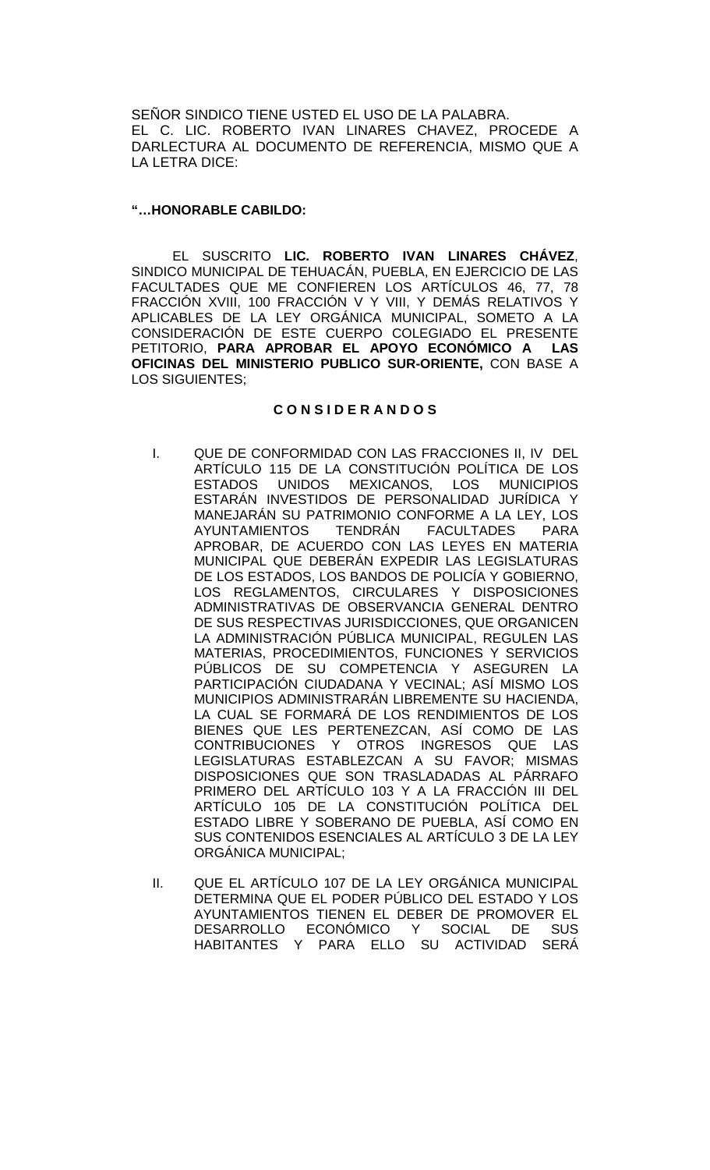SEÑOR SINDICO TIENE USTED EL USO DE LA PALABRA. EL C. LIC. ROBERTO IVAN LINARES CHAVEZ, PROCEDE A DARLECTURA AL DOCUMENTO DE REFERENCIA, MISMO QUE A LA LETRA DICE:

### **"…HONORABLE CABILDO:**

EL SUSCRITO **LIC. ROBERTO IVAN LINARES CHÁVEZ**, SINDICO MUNICIPAL DE TEHUACÁN, PUEBLA, EN EJERCICIO DE LAS FACULTADES QUE ME CONFIEREN LOS ARTÍCULOS 46, 77, 78 FRACCIÓN XVIII, 100 FRACCIÓN V Y VIII, Y DEMÁS RELATIVOS Y APLICABLES DE LA LEY ORGÁNICA MUNICIPAL, SOMETO A LA CONSIDERACIÓN DE ESTE CUERPO COLEGIADO EL PRESENTE PETITORIO, **PARA APROBAR EL APOYO ECONÓMICO A LAS OFICINAS DEL MINISTERIO PUBLICO SUR-ORIENTE,** CON BASE A LOS SIGUIENTES;

## **C O N S I D E R A N D O S**

- I. QUE DE CONFORMIDAD CON LAS FRACCIONES II, IV DEL ARTÍCULO 115 DE LA CONSTITUCIÓN POLÍTICA DE LOS<br>ESTADOS UNIDOS MEXICANOS. LOS MUNICIPIOS UNIDOS MEXICANOS, LOS ESTARÁN INVESTIDOS DE PERSONALIDAD JURÍDICA Y MANEJARÁN SU PATRIMONIO CONFORME A LA LEY, LOS AYUNTAMIENTOS TENDRÁN FACULTADES PARA APROBAR, DE ACUERDO CON LAS LEYES EN MATERIA MUNICIPAL QUE DEBERÁN EXPEDIR LAS LEGISLATURAS DE LOS ESTADOS, LOS BANDOS DE POLICÍA Y GOBIERNO, LOS REGLAMENTOS, CIRCULARES Y DISPOSICIONES ADMINISTRATIVAS DE OBSERVANCIA GENERAL DENTRO DE SUS RESPECTIVAS JURISDICCIONES, QUE ORGANICEN LA ADMINISTRACIÓN PÚBLICA MUNICIPAL, REGULEN LAS MATERIAS, PROCEDIMIENTOS, FUNCIONES Y SERVICIOS PÚBLICOS DE SU COMPETENCIA Y ASEGUREN LA PARTICIPACIÓN CIUDADANA Y VECINAL; ASÍ MISMO LOS MUNICIPIOS ADMINISTRARÁN LIBREMENTE SU HACIENDA, LA CUAL SE FORMARÁ DE LOS RENDIMIENTOS DE LOS BIENES QUE LES PERTENEZCAN, ASÍ COMO DE LAS CONTRIBUCIONES Y OTROS INGRESOS QUE LAS LEGISLATURAS ESTABLEZCAN A SU FAVOR; MISMAS DISPOSICIONES QUE SON TRASLADADAS AL PÁRRAFO PRIMERO DEL ARTÍCULO 103 Y A LA FRACCIÓN III DEL ARTÍCULO 105 DE LA CONSTITUCIÓN POLÍTICA DEL ESTADO LIBRE Y SOBERANO DE PUEBLA, ASÍ COMO EN SUS CONTENIDOS ESENCIALES AL ARTÍCULO 3 DE LA LEY ORGÁNICA MUNICIPAL;
- II. QUE EL ARTÍCULO 107 DE LA LEY ORGÁNICA MUNICIPAL DETERMINA QUE EL PODER PÚBLICO DEL ESTADO Y LOS AYUNTAMIENTOS TIENEN EL DEBER DE PROMOVER EL DESARROLLO ECONÓMICO Y SOCIAL DE SUS HABITANTES Y PARA ELLO SU ACTIVIDAD SERÁ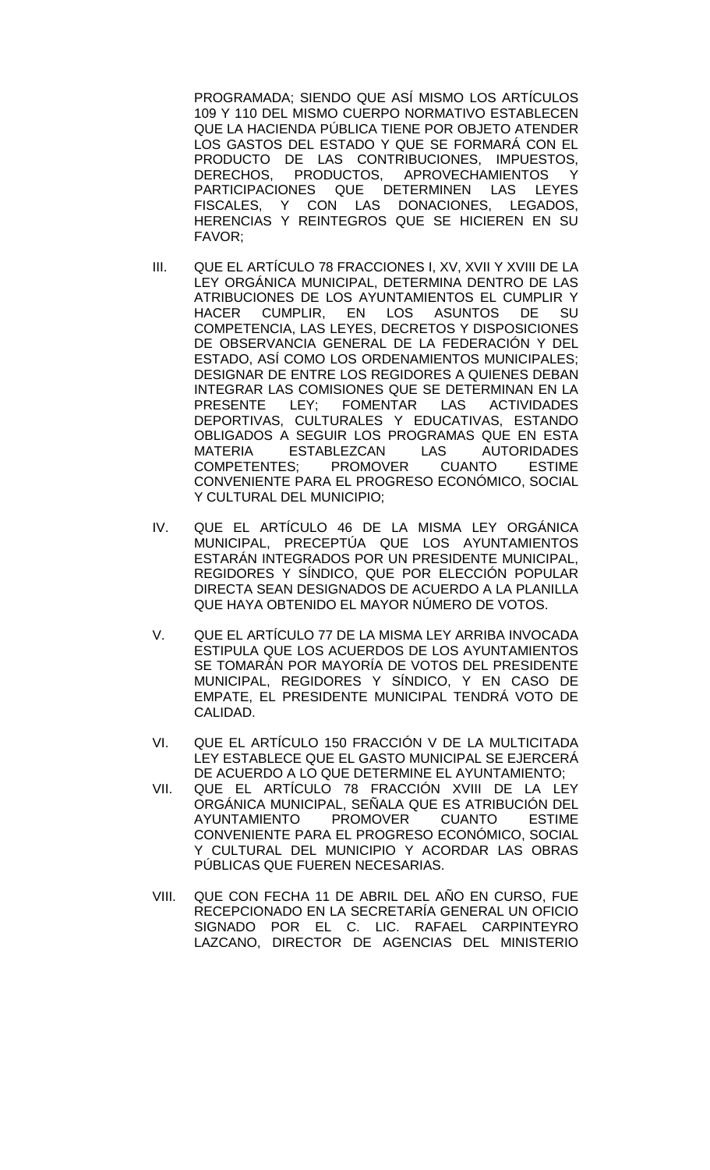PROGRAMADA; SIENDO QUE ASÍ MISMO LOS ARTÍCULOS 109 Y 110 DEL MISMO CUERPO NORMATIVO ESTABLECEN QUE LA HACIENDA PÚBLICA TIENE POR OBJETO ATENDER LOS GASTOS DEL ESTADO Y QUE SE FORMARÁ CON EL PRODUCTO DE LAS CONTRIBUCIONES, IMPUESTOS, DERECHOS, PRODUCTOS, APROVECHAMIENTOS Y<br>PARTICIPACIONES QUE DETERMINEN LAS LEYES PARTICIPACIONES FISCALES, Y CON LAS DONACIONES, LEGADOS, HERENCIAS Y REINTEGROS QUE SE HICIEREN EN SU FAVOR;

- III. QUE EL ARTÍCULO 78 FRACCIONES I, XV, XVII Y XVIII DE LA LEY ORGÁNICA MUNICIPAL, DETERMINA DENTRO DE LAS ATRIBUCIONES DE LOS AYUNTAMIENTOS EL CUMPLIR Y<br>HACER CUMPLIR. EN LOS ASUNTOS DE SU CUMPLIR, EN LOS ASUNTOS DE SU COMPETENCIA, LAS LEYES, DECRETOS Y DISPOSICIONES DE OBSERVANCIA GENERAL DE LA FEDERACIÓN Y DEL ESTADO, ASÍ COMO LOS ORDENAMIENTOS MUNICIPALES; DESIGNAR DE ENTRE LOS REGIDORES A QUIENES DEBAN INTEGRAR LAS COMISIONES QUE SE DETERMINAN EN LA<br>PRESENTE LEY: FOMENTAR LAS ACTIVIDADES PRESENTE LEY; FOMENTAR LAS ACTIVIDADES DEPORTIVAS, CULTURALES Y EDUCATIVAS, ESTANDO OBLIGADOS A SEGUIR LOS PROGRAMAS QUE EN ESTA MATERIA ESTABLEZCAN LAS AUTORIDADES COMPETENTES; PROMOVER CUANTO ESTIME CONVENIENTE PARA EL PROGRESO ECONÓMICO, SOCIAL Y CULTURAL DEL MUNICIPIO;
- IV. QUE EL ARTÍCULO 46 DE LA MISMA LEY ORGÁNICA MUNICIPAL, PRECEPTÚA QUE LOS AYUNTAMIENTOS ESTARÁN INTEGRADOS POR UN PRESIDENTE MUNICIPAL, REGIDORES Y SÍNDICO, QUE POR ELECCIÓN POPULAR DIRECTA SEAN DESIGNADOS DE ACUERDO A LA PLANILLA QUE HAYA OBTENIDO EL MAYOR NÚMERO DE VOTOS.
- V. QUE EL ARTÍCULO 77 DE LA MISMA LEY ARRIBA INVOCADA ESTIPULA QUE LOS ACUERDOS DE LOS AYUNTAMIENTOS SE TOMARÁN POR MAYORÍA DE VOTOS DEL PRESIDENTE MUNICIPAL, REGIDORES Y SÍNDICO, Y EN CASO DE EMPATE, EL PRESIDENTE MUNICIPAL TENDRÁ VOTO DE CALIDAD.
- VI. QUE EL ARTÍCULO 150 FRACCIÓN V DE LA MULTICITADA LEY ESTABLECE QUE EL GASTO MUNICIPAL SE EJERCERÁ DE ACUERDO A LO QUE DETERMINE EL AYUNTAMIENTO;
- VII. QUE EL ARTÍCULO 78 FRACCIÓN XVIII DE LA LEY ORGÁNICA MUNICIPAL, SEÑALA QUE ES ATRIBUCIÓN DEL<br>AYUNTAMIENTO PROMOVER CUANTO ESTIME **AYUNTAMIENTO** CONVENIENTE PARA EL PROGRESO ECONÓMICO, SOCIAL Y CULTURAL DEL MUNICIPIO Y ACORDAR LAS OBRAS PÚBLICAS QUE FUEREN NECESARIAS.
- VIII. QUE CON FECHA 11 DE ABRIL DEL AÑO EN CURSO, FUE RECEPCIONADO EN LA SECRETARÍA GENERAL UN OFICIO SIGNADO POR EL C. LIC. RAFAEL CARPINTEYRO LAZCANO, DIRECTOR DE AGENCIAS DEL MINISTERIO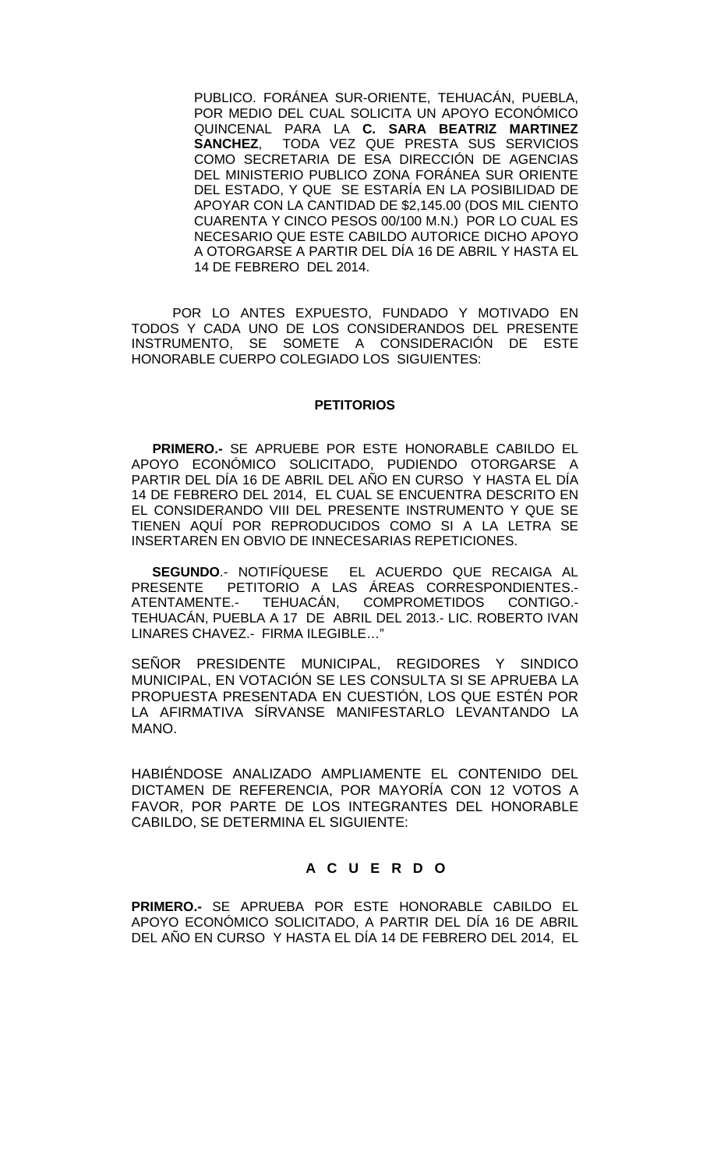PUBLICO. FORÁNEA SUR-ORIENTE, TEHUACÁN, PUEBLA, POR MEDIO DEL CUAL SOLICITA UN APOYO ECONÓMICO QUINCENAL PARA LA **C. SARA BEATRIZ MARTINEZ**  TODA VEZ QUE PRESTA SUS SERVICIOS COMO SECRETARIA DE ESA DIRECCIÓN DE AGENCIAS DEL MINISTERIO PUBLICO ZONA FORÁNEA SUR ORIENTE DEL ESTADO, Y QUE SE ESTARÍA EN LA POSIBILIDAD DE APOYAR CON LA CANTIDAD DE \$2,145.00 (DOS MIL CIENTO CUARENTA Y CINCO PESOS 00/100 M.N.) POR LO CUAL ES NECESARIO QUE ESTE CABILDO AUTORICE DICHO APOYO A OTORGARSE A PARTIR DEL DÍA 16 DE ABRIL Y HASTA EL 14 DE FEBRERO DEL 2014.

POR LO ANTES EXPUESTO, FUNDADO Y MOTIVADO EN TODOS Y CADA UNO DE LOS CONSIDERANDOS DEL PRESENTE INSTRUMENTO, SE SOMETE A CONSIDERACIÓN DE ESTE HONORABLE CUERPO COLEGIADO LOS SIGUIENTES:

#### **PETITORIOS**

**PRIMERO.-** SE APRUEBE POR ESTE HONORABLE CABILDO EL APOYO ECONÓMICO SOLICITADO, PUDIENDO OTORGARSE A PARTIR DEL DÍA 16 DE ABRIL DEL AÑO EN CURSO Y HASTA EL DÍA 14 DE FEBRERO DEL 2014, EL CUAL SE ENCUENTRA DESCRITO EN EL CONSIDERANDO VIII DEL PRESENTE INSTRUMENTO Y QUE SE TIENEN AQUÍ POR REPRODUCIDOS COMO SI A LA LETRA SE INSERTAREN EN OBVIO DE INNECESARIAS REPETICIONES.

**SEGUNDO**.- NOTIFÍQUESE EL ACUERDO QUE RECAIGA AL PRESENTE PETITORIO A LAS ÁREAS CORRESPONDIENTES.<br>ATENTAMENTE.- TEHUACÁN, COMPROMETIDOS CONTIGO.-TEHUACÁN, COMPROMETIDOS CONTIGO.-TEHUACÁN, PUEBLA A 17 DE ABRIL DEL 2013.- LIC. ROBERTO IVAN LINARES CHAVEZ.- FIRMA ILEGIBLE…"

SEÑOR PRESIDENTE MUNICIPAL, REGIDORES Y SINDICO MUNICIPAL, EN VOTACIÓN SE LES CONSULTA SI SE APRUEBA LA PROPUESTA PRESENTADA EN CUESTIÓN, LOS QUE ESTÉN POR LA AFIRMATIVA SÍRVANSE MANIFESTARLO LEVANTANDO LA MANO.

HABIÉNDOSE ANALIZADO AMPLIAMENTE EL CONTENIDO DEL DICTAMEN DE REFERENCIA, POR MAYORÍA CON 12 VOTOS A FAVOR, POR PARTE DE LOS INTEGRANTES DEL HONORABLE CABILDO, SE DETERMINA EL SIGUIENTE:

## **A C U E R D O**

**PRIMERO.-** SE APRUEBA POR ESTE HONORABLE CABILDO EL APOYO ECONÓMICO SOLICITADO, A PARTIR DEL DÍA 16 DE ABRIL DEL AÑO EN CURSO Y HASTA EL DÍA 14 DE FEBRERO DEL 2014, EL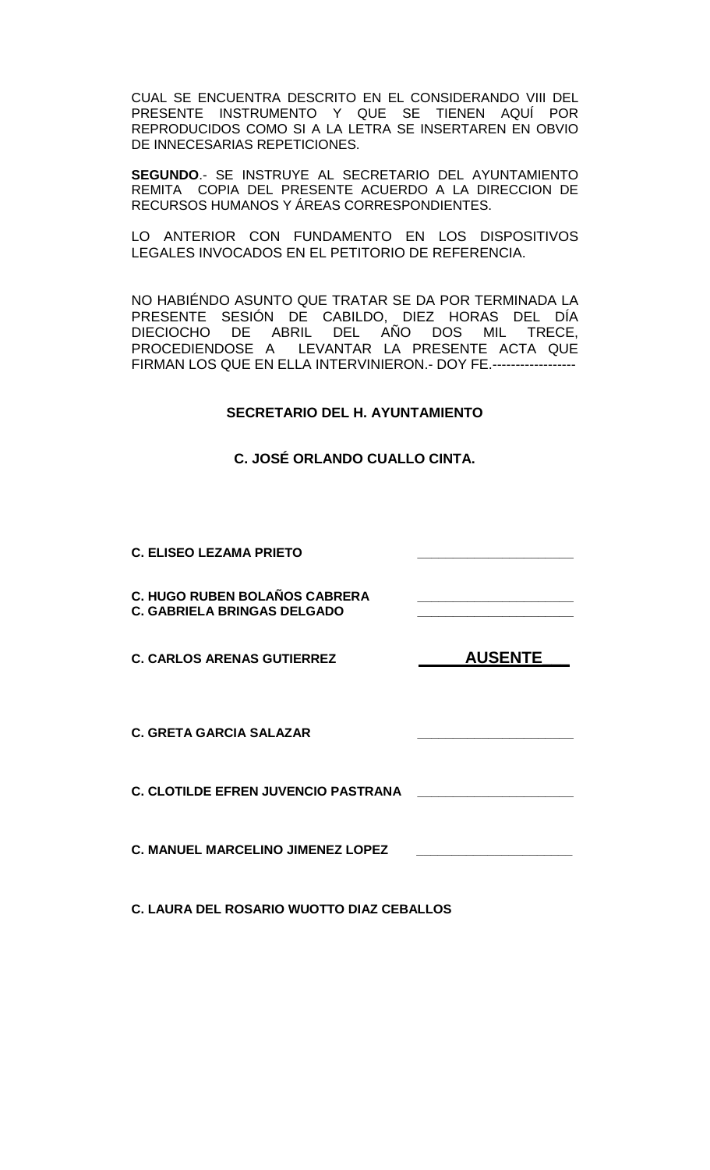CUAL SE ENCUENTRA DESCRITO EN EL CONSIDERANDO VIII DEL PRESENTE INSTRUMENTO Y QUE SE TIENEN AQUÍ POR REPRODUCIDOS COMO SI A LA LETRA SE INSERTAREN EN OBVIO DE INNECESARIAS REPETICIONES.

**SEGUNDO**.- SE INSTRUYE AL SECRETARIO DEL AYUNTAMIENTO REMITA COPIA DEL PRESENTE ACUERDO A LA DIRECCION DE RECURSOS HUMANOS Y ÁREAS CORRESPONDIENTES.

LO ANTERIOR CON FUNDAMENTO EN LOS DISPOSITIVOS LEGALES INVOCADOS EN EL PETITORIO DE REFERENCIA.

NO HABIÉNDO ASUNTO QUE TRATAR SE DA POR TERMINADA LA PRESENTE SESIÓN DE CABILDO, DIEZ HORAS DEL DÍA DIECIOCHO DE ABRIL DEL AÑO DOS MIL TRECE, PROCEDIENDOSE A LEVANTAR LA PRESENTE ACTA QUE FIRMAN LOS QUE EN ELLA INTERVINIERON.- DOY FE.------------------

# **SECRETARIO DEL H. AYUNTAMIENTO**

**C. JOSÉ ORLANDO CUALLO CINTA.**

**C. ELISEO LEZAMA PRIETO \_\_\_\_\_\_\_\_\_\_\_\_\_\_\_\_\_\_\_\_\_\_ C. HUGO RUBEN BOLAÑOS CABRERA \_\_\_\_\_\_\_\_\_\_\_\_\_\_\_\_\_\_\_\_\_\_ C. GABRIELA BRINGAS DELGADO** C. CARLOS ARENAS GUTIERREZ **AUSENTE C. GRETA GARCIA SALAZAR \_\_\_\_\_\_\_\_\_\_\_\_\_\_\_\_\_\_\_\_\_\_ C. CLOTILDE EFREN JUVENCIO PASTRANA \_\_\_\_\_\_\_\_\_\_\_\_\_\_\_\_\_\_\_\_\_\_ C. MANUEL MARCELINO JIMENEZ LOPEZ \_\_\_\_\_\_\_\_\_\_\_\_\_\_\_\_\_\_\_\_\_\_**

**C. LAURA DEL ROSARIO WUOTTO DIAZ CEBALLOS**